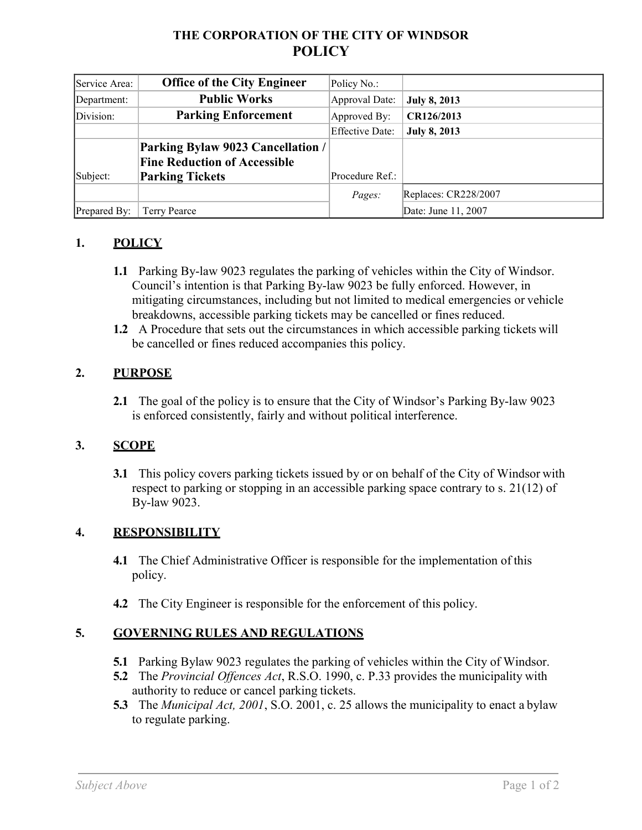# **THE CORPORATION OF THE CITY OF WINDSOR POLICY**

| Service Area: | <b>Office of the City Engineer</b>  | Policy No.:            |                      |
|---------------|-------------------------------------|------------------------|----------------------|
| Department:   | <b>Public Works</b>                 | Approval Date:         | <b>July 8, 2013</b>  |
| Division:     | <b>Parking Enforcement</b>          | Approved By:           | CR126/2013           |
|               |                                     | <b>Effective Date:</b> | <b>July 8, 2013</b>  |
|               | Parking Bylaw 9023 Cancellation /   |                        |                      |
|               | <b>Fine Reduction of Accessible</b> |                        |                      |
| Subject:      | <b>Parking Tickets</b>              | Procedure Ref.:        |                      |
|               |                                     | <i>Pages:</i>          | Replaces: CR228/2007 |
| Prepared By:  | Terry Pearce                        |                        | Date: June 11, 2007  |

### **1. POLICY**

- **1.1** Parking By-law 9023 regulates the parking of vehicles within the City of Windsor. Council's intention is that Parking By-law 9023 be fully enforced. However, in mitigating circumstances, including but not limited to medical emergencies or vehicle breakdowns, accessible parking tickets may be cancelled or fines reduced.
- **1.2** A Procedure that sets out the circumstances in which accessible parking tickets will be cancelled or fines reduced accompanies this policy.

### **2. PURPOSE**

**2.1** The goal of the policy is to ensure that the City of Windsor's Parking By-law 9023 is enforced consistently, fairly and without political interference.

### **3. SCOPE**

**3.1** This policy covers parking tickets issued by or on behalf of the City of Windsor with respect to parking or stopping in an accessible parking space contrary to s. 21(12) of By-law 9023.

#### **4. RESPONSIBILITY**

- **4.1** The Chief Administrative Officer is responsible for the implementation of this policy.
- **4.2** The City Engineer is responsible for the enforcement of this policy.

### **5. GOVERNING RULES AND REGULATIONS**

- **5.1** Parking Bylaw 9023 regulates the parking of vehicles within the City of Windsor.
- **5.2** The *Provincial Offences Act*, R.S.O. 1990, c. P.33 provides the municipality with authority to reduce or cancel parking tickets.
- **5.3** The *Municipal Act, 2001*, S.O. 2001, c. 25 allows the municipality to enact a bylaw to regulate parking.